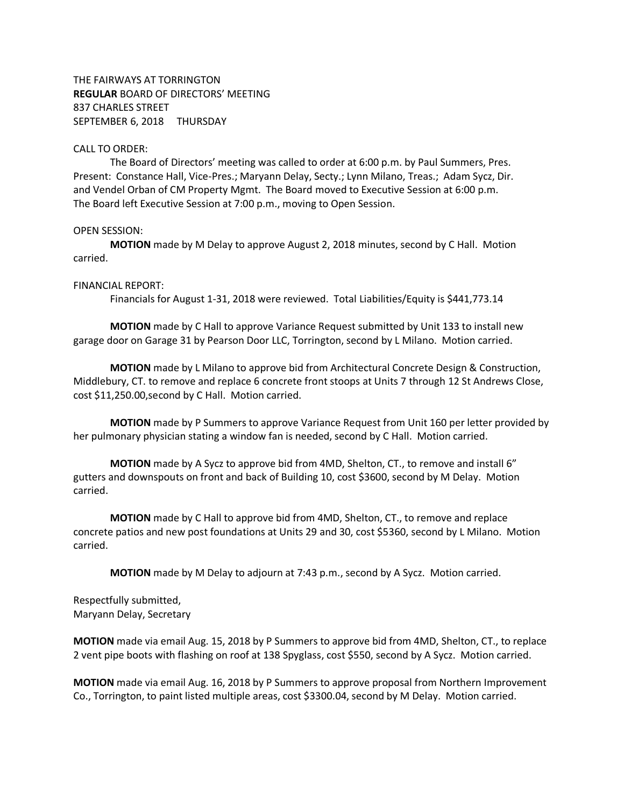## THE FAIRWAYS AT TORRINGTON **REGULAR** BOARD OF DIRECTORS' MEETING 837 CHARLES STREET SEPTEMBER 6, 2018 THURSDAY

## CALL TO ORDER:

The Board of Directors' meeting was called to order at 6:00 p.m. by Paul Summers, Pres. Present: Constance Hall, Vice-Pres.; Maryann Delay, Secty.; Lynn Milano, Treas.; Adam Sycz, Dir. and Vendel Orban of CM Property Mgmt. The Board moved to Executive Session at 6:00 p.m. The Board left Executive Session at 7:00 p.m., moving to Open Session.

## OPEN SESSION:

**MOTION** made by M Delay to approve August 2, 2018 minutes, second by C Hall. Motion carried.

## FINANCIAL REPORT:

Financials for August 1-31, 2018 were reviewed. Total Liabilities/Equity is \$441,773.14

**MOTION** made by C Hall to approve Variance Request submitted by Unit 133 to install new garage door on Garage 31 by Pearson Door LLC, Torrington, second by L Milano. Motion carried.

**MOTION** made by L Milano to approve bid from Architectural Concrete Design & Construction, Middlebury, CT. to remove and replace 6 concrete front stoops at Units 7 through 12 St Andrews Close, cost \$11,250.00,second by C Hall. Motion carried.

**MOTION** made by P Summers to approve Variance Request from Unit 160 per letter provided by her pulmonary physician stating a window fan is needed, second by C Hall. Motion carried.

**MOTION** made by A Sycz to approve bid from 4MD, Shelton, CT., to remove and install 6" gutters and downspouts on front and back of Building 10, cost \$3600, second by M Delay. Motion carried.

**MOTION** made by C Hall to approve bid from 4MD, Shelton, CT., to remove and replace concrete patios and new post foundations at Units 29 and 30, cost \$5360, second by L Milano. Motion carried.

**MOTION** made by M Delay to adjourn at 7:43 p.m., second by A Sycz. Motion carried.

Respectfully submitted, Maryann Delay, Secretary

**MOTION** made via email Aug. 15, 2018 by P Summers to approve bid from 4MD, Shelton, CT., to replace 2 vent pipe boots with flashing on roof at 138 Spyglass, cost \$550, second by A Sycz. Motion carried.

**MOTION** made via email Aug. 16, 2018 by P Summers to approve proposal from Northern Improvement Co., Torrington, to paint listed multiple areas, cost \$3300.04, second by M Delay. Motion carried.